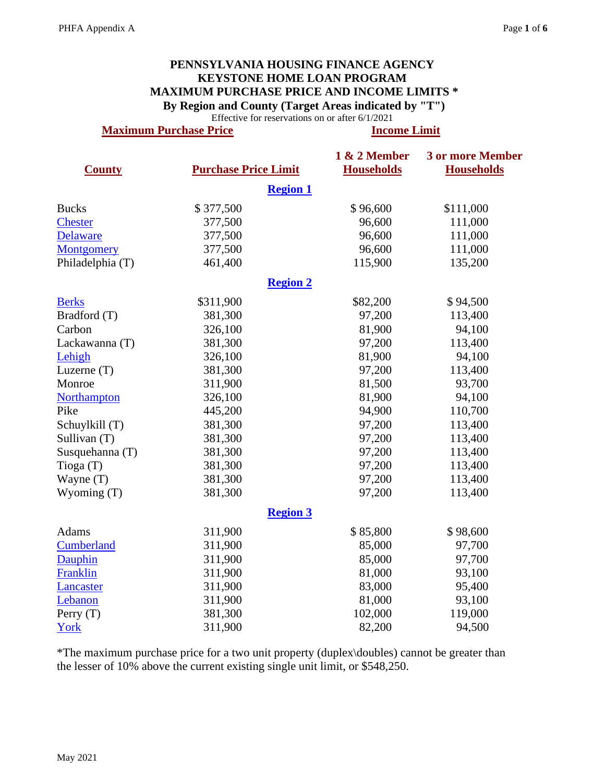## **PENNSYLVANIA HOUSING FINANCE AGENCY KEYSTONE HOME LOAN PROGRAM MAXIMUM PURCHASE PRICE AND INCOME LIMITS \* By Region and County (Target Areas indicated by "T")**

Effective for reservations on or after 6/1/2021

**Maximum Purchase Price Income Limit**  Income Limit

|                   |                             | 1 & 2 Member      | <b>3 or more Member</b> |
|-------------------|-----------------------------|-------------------|-------------------------|
| <b>County</b>     | <b>Purchase Price Limit</b> | <b>Households</b> | <b>Households</b>       |
|                   |                             | <b>Region 1</b>   |                         |
| <b>Bucks</b>      | \$377,500                   | \$96,600          | \$111,000               |
| <b>Chester</b>    | 377,500                     | 96,600            | 111,000                 |
| Delaware          | 377,500                     | 96,600            | 111,000                 |
| <b>Montgomery</b> | 377,500                     | 96,600            | 111,000                 |
| Philadelphia (T)  | 461,400                     | 115,900           | 135,200                 |
|                   |                             | <b>Region 2</b>   |                         |
| <b>Berks</b>      | \$311,900                   | \$82,200          | \$94,500                |
| Bradford (T)      | 381,300                     | 97,200            | 113,400                 |
| Carbon            | 326,100                     | 81,900            | 94,100                  |
| Lackawanna (T)    | 381,300                     | 97,200            | 113,400                 |
| Lehigh            | 326,100                     | 81,900            | 94,100                  |
| Luzerne $(T)$     | 381,300                     | 97,200            | 113,400                 |
| Monroe            | 311,900                     | 81,500            | 93,700                  |
| Northampton       | 326,100                     | 81,900            | 94,100                  |
| Pike              | 445,200                     | 94,900            | 110,700                 |
| Schuylkill (T)    | 381,300                     | 97,200            | 113,400                 |
| Sullivan (T)      | 381,300                     | 97,200            | 113,400                 |
| Susquehanna (T)   | 381,300                     | 97,200            | 113,400                 |
| Tioga(T)          | 381,300                     | 97,200            | 113,400                 |
| Wayne (T)         | 381,300                     | 97,200            | 113,400                 |
| Wyoming $(T)$     | 381,300                     | 97,200            | 113,400                 |
|                   |                             | <b>Region 3</b>   |                         |
| Adams             | 311,900                     | \$85,800          | \$98,600                |
| Cumberland        | 311,900                     | 85,000            | 97,700                  |
| Dauphin           | 311,900                     | 85,000            | 97,700                  |
| Franklin          | 311,900                     | 81,000            | 93,100                  |
| Lancaster         | 311,900                     | 83,000            | 95,400                  |
| Lebanon           | 311,900                     | 81,000            | 93,100                  |
| Perry $(T)$       | 381,300                     | 102,000           | 119,000                 |
| York              | 311,900                     | 82,200            | 94,500                  |

\*The maximum purchase price for a two unit property (duplex\doubles) cannot be greater than the lesser of 10% above the current existing single unit limit, or \$548,250.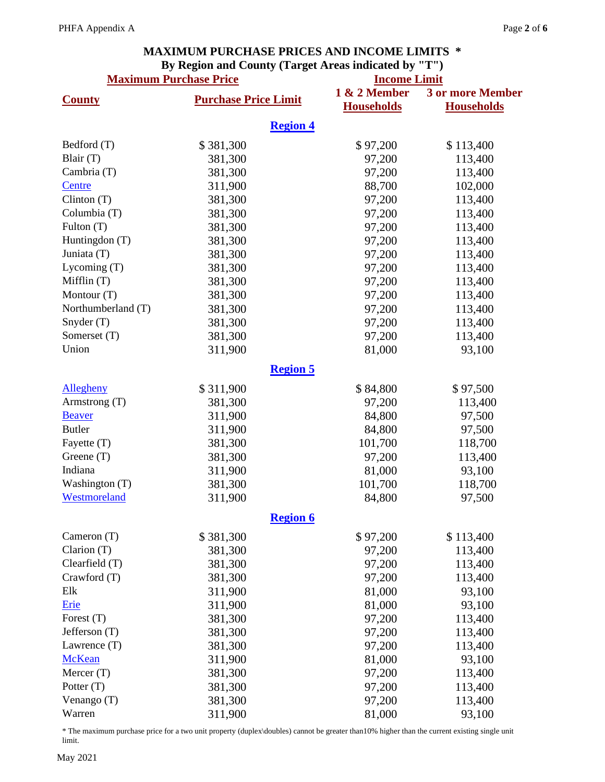## **MAXIMUM PURCHASE PRICES AND INCOME LIMITS \* By Region and County (Target Areas indicated by "T")**

|                    | <b>Maximum Purchase Price</b> | 1 & 2 Member    | <b>Income Limit</b>                          |  |  |
|--------------------|-------------------------------|-----------------|----------------------------------------------|--|--|
| <b>County</b>      | <b>Purchase Price Limit</b>   |                 | <b>3 or more Member</b><br><b>Households</b> |  |  |
|                    |                               | <b>Region 4</b> |                                              |  |  |
| Bedford (T)        | \$381,300                     | \$97,200        | \$113,400                                    |  |  |
| Blair (T)          | 381,300                       | 97,200          | 113,400                                      |  |  |
| Cambria (T)        | 381,300                       | 97,200          | 113,400                                      |  |  |
| Centre             | 311,900                       | 88,700          | 102,000                                      |  |  |
| Clinton(T)         | 381,300                       | 97,200          | 113,400                                      |  |  |
| Columbia (T)       | 381,300                       | 97,200          | 113,400                                      |  |  |
| Fulton (T)         | 381,300                       | 97,200          | 113,400                                      |  |  |
| Huntingdon (T)     | 381,300                       | 97,200          | 113,400                                      |  |  |
| Juniata (T)        | 381,300                       | 97,200          | 113,400                                      |  |  |
| Lycoming (T)       | 381,300                       | 97,200          | 113,400                                      |  |  |
| Mifflin (T)        | 381,300                       | 97,200          | 113,400                                      |  |  |
| Montour (T)        | 381,300                       | 97,200          | 113,400                                      |  |  |
| Northumberland (T) | 381,300                       | 97,200          | 113,400                                      |  |  |
| Snyder (T)         | 381,300                       | 97,200          | 113,400                                      |  |  |
| Somerset (T)       | 381,300                       | 97,200          | 113,400                                      |  |  |
| Union              | 311,900                       | 81,000          | 93,100                                       |  |  |
|                    |                               | <b>Region 5</b> |                                              |  |  |
|                    |                               |                 |                                              |  |  |
| <b>Allegheny</b>   | \$311,900                     | \$84,800        | \$97,500                                     |  |  |
| Armstrong (T)      | 381,300                       | 97,200          | 113,400                                      |  |  |
| <b>Beaver</b>      | 311,900                       | 84,800          | 97,500                                       |  |  |
| <b>Butler</b>      | 311,900                       | 84,800          | 97,500                                       |  |  |
| Fayette (T)        | 381,300                       | 101,700         | 118,700                                      |  |  |
| Greene $(T)$       | 381,300                       | 97,200          | 113,400                                      |  |  |
| Indiana            | 311,900                       | 81,000          | 93,100                                       |  |  |
| Washington (T)     | 381,300                       | 101,700         | 118,700                                      |  |  |
| Westmoreland       | 311,900                       | 84,800          | 97,500                                       |  |  |
|                    |                               | <b>Region 6</b> |                                              |  |  |
| Cameron $(T)$      | \$381,300                     | \$97,200        | \$113,400                                    |  |  |
| Clarion (T)        | 381,300                       | 97,200          | 113,400                                      |  |  |
| Clearfield (T)     | 381,300                       | 97,200          | 113,400                                      |  |  |
| Crawford (T)       | 381,300                       | 97,200          | 113,400                                      |  |  |
| Elk                | 311,900                       | 81,000          | 93,100                                       |  |  |
| Erie               | 311,900                       | 81,000          | 93,100                                       |  |  |
| Forest (T)         | 381,300                       | 97,200          | 113,400                                      |  |  |
| Jefferson (T)      | 381,300                       | 97,200          | 113,400                                      |  |  |
| Lawrence (T)       | 381,300                       | 97,200          | 113,400                                      |  |  |
| <b>McKean</b>      | 311,900                       | 81,000          | 93,100                                       |  |  |
| Mercer $(T)$       | 381,300                       | 97,200          | 113,400                                      |  |  |
| Potter (T)         | 381,300                       | 97,200          | 113,400                                      |  |  |
| Venango (T)        | 381,300                       | 97,200          | 113,400                                      |  |  |
| Warren             | 311,900                       | 81,000          | 93,100                                       |  |  |

\* The maximum purchase price for a two unit property (duplex\doubles) cannot be greater than10% higher than the current existing single unit limit.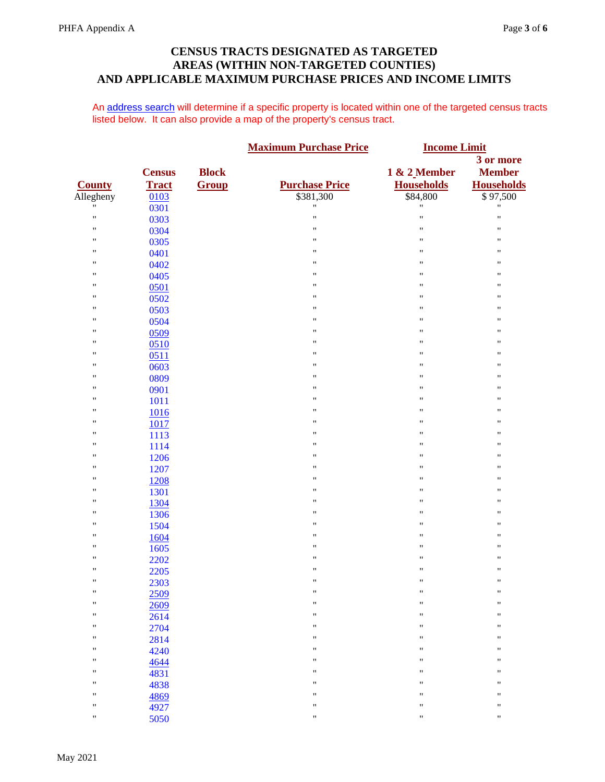## **CENSUS TRACTS DESIGNATED AS TARGETED AREAS (WITHIN NON-TARGETED COUNTIES) AND APPLICABLE MAXIMUM PURCHASE PRICES AND INCOME LIMITS**

An [address search](http://www.ffiec.gov/geocode/) will determine if a specific property is located within one of the targeted census tracts listed below. It can also provide a map of the property's census tract.

<span id="page-2-0"></span>

|                    |               |              | <b>Maximum Purchase Price</b> | <b>Income Limit</b> |                    |
|--------------------|---------------|--------------|-------------------------------|---------------------|--------------------|
|                    |               |              |                               |                     | 3 or more          |
|                    | <b>Census</b> | <b>Block</b> |                               | 1 & 2 Member        | <b>Member</b>      |
| <b>County</b>      | <b>Tract</b>  | Group        | <b>Purchase Price</b>         | <b>Households</b>   | <b>Households</b>  |
| Allegheny          | 0103          |              | \$381,300                     | \$84,800            | \$97,500           |
| "                  | 0301          |              | $\pmb{\mathsf{H}}$            | 11                  | $\pmb{\mathsf{H}}$ |
| $\pmb{\mathsf{H}}$ | 0303          |              | $\pmb{\mathsf{H}}$            | Ħ                   | $\pmb{\mathsf{H}}$ |
| $\pmb{\mathsf{H}}$ | 0304          |              | 11                            | "                   | $\pmb{\mathsf{H}}$ |
| $\pmb{\mathsf{H}}$ | 0305          |              | $\pmb{\mathsf{H}}$            | 11                  | $\pmb{\mathsf{H}}$ |
| "                  | 0401          |              | "                             | "                   | "                  |
| "                  | 0402          |              | 11                            | "                   | $\pmb{\mathsf{H}}$ |
| "                  | 0405          |              | $\pmb{\mathsf{H}}$            | "                   | $\pmb{\mathsf{H}}$ |
| "                  | 0501          |              | "                             | "                   | 11                 |
| $\pmb{\mathsf{H}}$ | 0502          |              | 11                            | "                   | $\pmb{\mathsf{H}}$ |
| "                  | 0503          |              | $\pmb{\mathsf{H}}$            | 11                  | $\pmb{\mathsf{H}}$ |
| "                  | 0504          |              | "                             | "                   | 11                 |
| $\pmb{\mathsf{H}}$ | 0509          |              | 11                            | 11                  | $\pmb{\mathsf{H}}$ |
| $\pmb{\mathsf{H}}$ | 0510          |              | $\pmb{\mathsf{H}}$            | "                   | $\pmb{\mathsf{H}}$ |
| "                  | 0511          |              | "                             | 11                  | 11                 |
| "                  | 0603          |              | 11                            | "                   | $\pmb{\mathsf{H}}$ |
| "                  | 0809          |              | $\pmb{\mathsf{H}}$            | "                   | $\pmb{\mathsf{H}}$ |
| "                  | 0901          |              | "                             | "                   | "                  |
| "                  | 1011          |              | $\pmb{\mathsf{H}}$            | "                   | $\pmb{\mathsf{H}}$ |
| "                  | 1016          |              | $\pmb{\mathsf{H}}$            | 11                  | $\pmb{\mathsf{H}}$ |
| "                  | 1017          |              | "                             | "                   | "                  |
| "                  | 1113          |              | 11                            | 11                  | $\pmb{\mathsf{H}}$ |
| "                  | 1114          |              | $\pmb{\mathsf{H}}$            | 11                  | $\pmb{\mathsf{H}}$ |
| "                  | 1206          |              | "                             | "                   | "                  |
| $\pmb{\mathsf{H}}$ | 1207          |              | 11                            | "                   | $\pmb{\mathsf{H}}$ |
| $\pmb{\mathsf{H}}$ | 1208          |              | $\pmb{\mathsf{H}}$            | "                   | $\pmb{\mathsf{H}}$ |
| "                  | 1301          |              | "                             | 11                  | 11                 |
| "                  | 1304          |              | 11                            | $\pmb{\mathsf{H}}$  | $\pmb{\mathsf{H}}$ |
| "                  | 1306          |              | $\pmb{\mathsf{H}}$            | 11                  | $\pmb{\mathsf{H}}$ |
| "                  | 1504          |              | $\pmb{\mathsf{H}}$            | 11                  | 11                 |
| $\pmb{\mathsf{H}}$ | 1604          |              | 11                            | $\pmb{\mathsf{H}}$  | $\pmb{\mathsf{H}}$ |
| "                  | 1605          |              | $\pmb{\mathsf{H}}$            | "                   | $\pmb{\mathsf{H}}$ |
| "                  | 2202          |              | "                             | "                   | 11                 |
| $\pmb{\mathsf{H}}$ | 2205          |              | $\pmb{\mathsf{H}}$            | 11                  | $\pmb{\mathsf{H}}$ |
| $\pmb{\mathsf{H}}$ | 2303          |              | $\pmb{\mathsf{H}}$            | "                   | $\pmb{\mathsf{H}}$ |
| $\mathbf{H}$       | 2509          |              | $\pmb{\mathsf{H}}$            | Ħ                   | $\pmb{\mathsf{H}}$ |
| $\pmb{\mathsf{H}}$ | 2609          |              | $\pmb{\mathsf{H}}$            | "                   | $\pmb{\mathsf{H}}$ |
| $\pmb{\mathsf{H}}$ | 2614          |              | $\pmb{\mathsf{H}}$            | "                   | $\pmb{\mathsf{H}}$ |
| "                  | 2704          |              | $\pmb{\mathsf{H}}$            | 11                  | $\pmb{\mathsf{H}}$ |
| $\pmb{\mathsf{H}}$ | 2814          |              | $\pmb{\mathsf{H}}$            | "                   | $\pmb{\mathsf{H}}$ |
| $\pmb{\mathsf{H}}$ | 4240          |              | $\pmb{\mathsf{H}}$            | "                   | $\pmb{\mathsf{H}}$ |
| "                  | 4644          |              | $\pmb{\mathsf{H}}$            | "                   | 11                 |
| $\pmb{\mathsf{H}}$ | 4831          |              | $\pmb{\mathsf{H}}$            | "                   | $\pmb{\mathsf{H}}$ |
| $\pmb{\mathsf{H}}$ | 4838          |              | $\pmb{\mathsf{H}}$            | "                   | $\pmb{\mathsf{H}}$ |
| "                  | 4869          |              | $\pmb{\mathsf{H}}$            | "                   | 11                 |
| $\pmb{\mathsf{H}}$ | 4927          |              | 11                            | "                   | $\pmb{\mathsf{H}}$ |
| $\pmb{\mathsf{H}}$ | 5050          |              | $\pmb{\mathsf{H}}$            | "                   | $\pmb{\mathsf{H}}$ |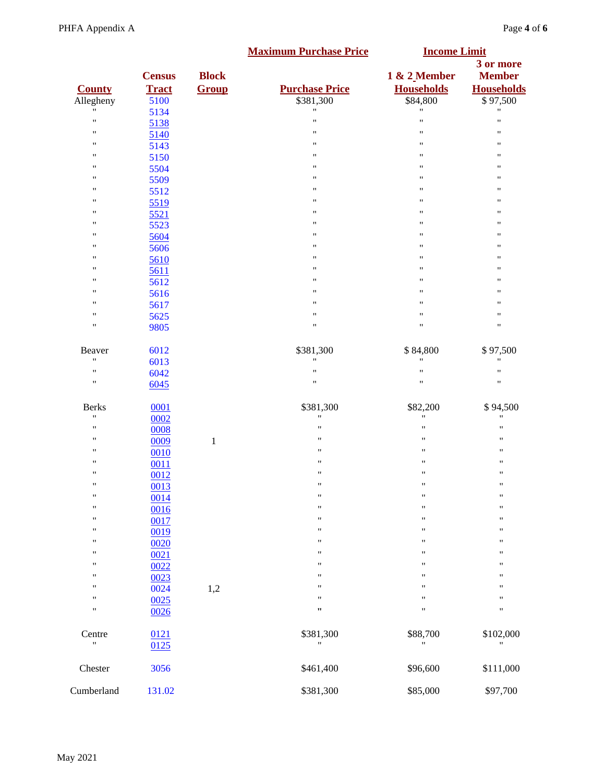<span id="page-3-5"></span><span id="page-3-4"></span><span id="page-3-3"></span><span id="page-3-2"></span><span id="page-3-1"></span><span id="page-3-0"></span>

|                                          |                      |              | <b>Maximum Purchase Price</b>      | <b>Income Limit</b>                        |                               |
|------------------------------------------|----------------------|--------------|------------------------------------|--------------------------------------------|-------------------------------|
|                                          | <b>Census</b>        | <b>Block</b> |                                    | 1 & 2 Member                               | 3 or more<br><b>Member</b>    |
| <b>County</b><br>Allegheny               | <b>Tract</b><br>5100 | Group        | <b>Purchase Price</b><br>\$381,300 | <b>Households</b><br>\$84,800              | <b>Households</b><br>\$97,500 |
| "                                        | 5134                 |              | "                                  | "                                          | 11                            |
| $\pmb{\mathsf{H}}$                       | 5138                 |              | 11                                 | $\pmb{\mathsf{H}}$                         | $\pmb{\mathsf{H}}$            |
| $\pmb{\mathsf{H}}$                       | 5140                 |              | 11                                 | $\pmb{\mathsf{H}}$                         | 11                            |
| "                                        | 5143                 |              | "                                  | $\pmb{\mathsf{H}}$                         | 11                            |
| "                                        | 5150                 |              | "                                  | 11                                         | 11                            |
| "                                        | 5504                 |              | 11                                 | 11                                         | 11                            |
| "                                        | 5509                 |              | "                                  | $\pmb{\mathsf{H}}$                         | 11                            |
| "                                        | 5512                 |              | "                                  | 11                                         | 11                            |
| $\pmb{\mathsf{H}}$                       | 5519                 |              | 11                                 | $\pmb{\mathsf{H}}$                         | 11                            |
| "                                        | 5521                 |              | 11                                 | $\pmb{\mathsf{H}}$                         | $\pmb{\mathsf{H}}$            |
| "                                        | 5523                 |              | "                                  | 11                                         | 11                            |
| "                                        | 5604                 |              | 11                                 | $\pmb{\mathsf{H}}$                         | 11                            |
| $\pmb{\mathsf{H}}$                       | 5606                 |              | 11                                 | $\pmb{\mathsf{H}}$                         | $\pmb{\mathsf{H}}$            |
| "                                        | 5610                 |              | "                                  | $\pmb{\mathsf{H}}$                         | 11                            |
| "                                        | 5611                 |              | 11                                 | $\pmb{\mathsf{H}}$                         | 11                            |
| "                                        | 5612                 |              | "                                  | $\pmb{\mathsf{H}}$                         | 11                            |
| "                                        | 5616                 |              | "                                  | 11                                         | 11                            |
| "                                        | 5617                 |              | "                                  | $\pmb{\mathsf{H}}$                         | "                             |
| "                                        | 5625                 |              | "                                  | $\pmb{\mathsf{H}}$                         | 11                            |
| "                                        | 9805                 |              | "                                  | $\pmb{\mathsf{H}}$                         | 11                            |
| Beaver                                   | 6012                 |              | \$381,300                          | \$84,800                                   | \$97,500                      |
| $\pmb{\mathsf{H}}$                       | 6013                 |              | 11                                 | "                                          | 11                            |
| $\pmb{\mathsf{H}}$<br>$\pmb{\mathsf{H}}$ | 6042                 |              | "<br>"                             | $\pmb{\mathfrak{m}}$<br>$\pmb{\mathsf{H}}$ | "                             |
|                                          | 6045                 |              |                                    |                                            | $\pmb{\mathsf{H}}$            |
| <b>Berks</b>                             | 0001                 |              | \$381,300                          | \$82,200                                   | \$94,500                      |
| "                                        | 0002                 |              | 11                                 | 11                                         | 11                            |
| $^{\dagger}$                             | 0008                 |              | $^{\prime}$                        | 11                                         | 11                            |
| "<br>"                                   | 0009                 | $\mathbf{1}$ | $^{\prime}$<br>$^{\prime}$         | $\pmb{\mathsf{H}}$<br>$\pmb{\mathsf{H}}$   | 11<br>$\pmb{\mathsf{H}}$      |
| "                                        | 0010                 |              | Ħ                                  | 11                                         | "                             |
| $\pmb{\mathsf{H}}$                       | 0011                 |              | $^{\prime}$                        | $\pmb{\mathsf{H}}$                         | $\pmb{\mathsf{H}}$            |
| $\pmb{\mathsf{H}}$                       | 0012                 |              | $\pmb{\mathsf{H}}$                 | 11                                         | $\pmb{\mathsf{H}}$            |
| "                                        | 0013                 |              | $\pmb{\mathsf{H}}$                 | $\pmb{\mathsf{H}}$                         | 11                            |
| "                                        | 0014                 |              | $\pmb{\mathsf{H}}$                 | 11                                         | 11                            |
| $\pmb{\mathsf{H}}$                       | 0016<br>0017         |              | $\pmb{\mathsf{H}}$                 | $\pmb{\mathsf{H}}$                         | $\pmb{\mathsf{H}}$            |
| 11                                       | 0019                 |              | "                                  | 11                                         | 11                            |
| 11                                       | 0020                 |              | $^{\prime\prime}$                  | "                                          | 11                            |
| "                                        | 0021                 |              | "                                  | 11                                         | 11                            |
| "                                        | 0022                 |              | Ħ                                  | "                                          | "                             |
| "                                        | 0023                 |              | Ħ                                  | "                                          | 11                            |
| "                                        | 0024                 | 1,2          | Ħ                                  | 11                                         | $^{\dagger}$                  |
| "                                        | 0025                 |              | 11                                 | "                                          | 11                            |
| $\pmb{\mathsf{H}}$                       | 0026                 |              | $\pmb{\cdot}$                      | 11                                         | 11                            |
| Centre<br>Ħ                              | 0121<br>0125         |              | \$381,300<br>Ħ                     | \$88,700<br>Ħ                              | \$102,000<br>11               |
| Chester                                  | 3056                 |              | \$461,400                          | \$96,600                                   | \$111,000                     |
| Cumberland                               | 131.02               |              | \$381,300                          | \$85,000                                   | \$97,700                      |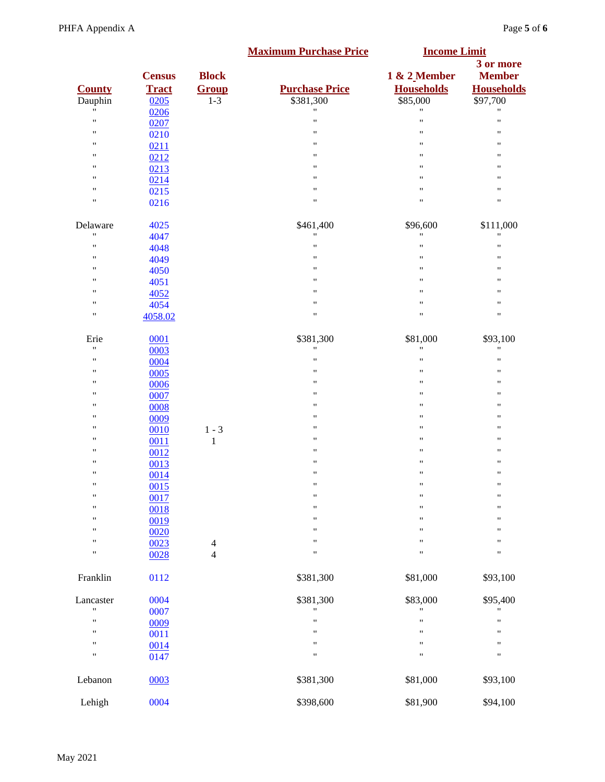<span id="page-4-5"></span><span id="page-4-4"></span><span id="page-4-3"></span><span id="page-4-2"></span><span id="page-4-1"></span><span id="page-4-0"></span>

|                    |               |                | <b>Maximum Purchase Price</b>   | <b>Income Limit</b>            |                            |
|--------------------|---------------|----------------|---------------------------------|--------------------------------|----------------------------|
|                    | <b>Census</b> | <b>Block</b>   |                                 | 1 & 2 Member                   | 3 or more<br><b>Member</b> |
|                    |               |                |                                 |                                |                            |
| <b>County</b>      | <b>Tract</b>  | Group          | <b>Purchase Price</b>           | <b>Households</b>              | <b>Households</b>          |
| Dauphin<br>Ħ       | 0205          | $1 - 3$        | \$381,300<br>$\pmb{\mathsf{H}}$ | \$85,000<br>$\pmb{\mathsf{H}}$ | \$97,700                   |
|                    | 0206          |                |                                 |                                | $\pmb{\mathsf{H}}$         |
| $\pmb{\mathsf{H}}$ | 0207          |                | $\pmb{\mathsf{H}}$              | $\pmb{\mathsf{H}}$             | $\pmb{\mathsf{H}}$         |
| "                  | 0210          |                | $\pmb{\mathsf{H}}$              | $\pmb{\mathsf{H}}$             | "                          |
| $\pmb{\mathsf{H}}$ | 0211          |                | $\pmb{\mathsf{H}}$              | $\pmb{\mathsf{H}}$             | 11                         |
| $\pmb{\mathsf{H}}$ | 0212          |                | $\pmb{\mathsf{H}}$              | $\pmb{\mathsf{H}}$             | $\pmb{\mathsf{H}}$         |
| $\pmb{\mathsf{H}}$ | 0213          |                | $\pmb{\mathsf{H}}$              | $\pmb{\mathsf{H}}$             | $\pmb{\mathsf{H}}$         |
| $\pmb{\mathsf{H}}$ | 0214          |                | $\pmb{\mathsf{H}}$              | $\pmb{\mathsf{H}}$             | 11                         |
| $\pmb{\mathsf{H}}$ | 0215          |                | $\pmb{\mathsf{H}}$              | $\pmb{\mathsf{H}}$             | $\pmb{\mathsf{H}}$         |
| $\pmb{\mathsf{H}}$ | 0216          |                | $\pmb{\mathsf{H}}$              | $\pmb{\mathsf{H}}$             | 11                         |
| Delaware           | 4025          |                | \$461,400                       | \$96,600                       | \$111,000                  |
| $\pmb{\mathsf{H}}$ | 4047          |                | $\pmb{\mathsf{H}}$              | $\pmb{\mathsf{H}}$             | $\pmb{\mathsf{H}}$         |
| $\mathbf{H}$       | 4048          |                | $\pmb{\mathsf{H}}$              | $\pmb{\mathsf{H}}$             | $\pmb{\mathsf{H}}$         |
| $\pmb{\mathsf{H}}$ | 4049          |                | $\pmb{\mathsf{H}}$              | $\pmb{\mathsf{H}}$             | $\pmb{\mathsf{H}}$         |
| "                  | 4050          |                | $\pmb{\mathsf{H}}$              | $\pmb{\mathsf{H}}$             | 11                         |
| $\pmb{\mathsf{H}}$ | 4051          |                | $\pmb{\mathsf{H}}$              | $\pmb{\mathsf{H}}$             | 11                         |
| $\pmb{\mathsf{H}}$ | 4052          |                | $\pmb{\mathsf{H}}$              | $\pmb{\mathsf{H}}$             | $\pmb{\mathsf{H}}$         |
| $\pmb{\mathsf{H}}$ | 4054          |                | $\pmb{\mathsf{H}}$              | $\pmb{\mathsf{H}}$             | $\pmb{\mathsf{H}}$         |
| "                  | 4058.02       |                | $\pmb{\mathsf{H}}$              | $\pmb{\mathsf{H}}$             | $\pmb{\mathsf{H}}$         |
| Erie               | 0001          |                | \$381,300                       | \$81,000                       | \$93,100                   |
| $\mathbf{H}$       | 0003          |                | $\pmb{\mathsf{H}}$              | $\pmb{\mathsf{H}}$             | $\pmb{\mathsf{H}}$         |
| $\pmb{\mathsf{H}}$ | 0004          |                | $\pmb{\mathsf{H}}$              | $\pmb{\mathsf{H}}$             | $\pmb{\mathsf{H}}$         |
| $\pmb{\mathsf{H}}$ | 0005          |                | $\pmb{\mathsf{H}}$              | $\pmb{\mathsf{H}}$             | $\pmb{\mathsf{H}}$         |
| "                  | 0006          |                | $\pmb{\mathsf{H}}$              | $\pmb{\mathsf{H}}$             | $\pmb{\mathsf{H}}$         |
| $\pmb{\mathsf{H}}$ | 0007          |                | $\pmb{\mathsf{H}}$              | $\pmb{\mathsf{H}}$             | $\pmb{\mathsf{H}}$         |
| "                  | 0008          |                | $\pmb{\mathsf{H}}$              | $\pmb{\mathsf{H}}$             | 11                         |
| $\pmb{\mathsf{H}}$ | 0009          |                | $\pmb{\mathsf{H}}$              | $\pmb{\mathsf{H}}$             | 11                         |
| $\pmb{\mathsf{H}}$ | 0010          | $1 - 3$        | $\pmb{\mathsf{H}}$              | $\pmb{\mathsf{H}}$             | $\pmb{\mathsf{H}}$         |
| $\pmb{\mathsf{H}}$ | 0011          | $\mathbf{1}$   | $\pmb{\mathsf{H}}$              | $\pmb{\mathsf{H}}$             | $\pmb{\mathsf{H}}$         |
| $\pmb{\mathsf{H}}$ | 0012          |                | $\pmb{\mathsf{H}}$              | $\pmb{\mathsf{H}}$             | 11                         |
| $\pmb{\mathsf{H}}$ |               |                | $\pmb{\mathsf{H}}$              | $\pmb{\mathsf{H}}$             | $\pmb{\mathsf{H}}$         |
| $\pmb{\mathsf{H}}$ | 0013          |                | $\pmb{\mathsf{H}}$              | $\pmb{\mathsf{H}}$             | 11                         |
| $\pmb{\mathsf{H}}$ | 0014          |                | $\pmb{\mathsf{H}}$              | $\pmb{\mathsf{H}}$             | $\pmb{\mathsf{H}}$         |
| $\pmb{\mathsf{H}}$ | 0015          |                | $\pmb{\mathsf{H}}$              | $\pmb{\mathsf{H}}$             | $\pmb{\mathsf{H}}$         |
|                    | 0017          |                | $\pmb{\mathsf{H}}$              |                                |                            |
| $\pmb{\mathsf{H}}$ | 0018          |                |                                 | $\pmb{\mathsf{H}}$             | $\pmb{\mathsf{H}}$         |
| "                  | 0019          |                | "                               | $\pmb{\mathsf{H}}$             | 11                         |
| $\pmb{\mathsf{H}}$ | 0020          |                | $\pmb{\mathsf{H}}$              | $\pmb{\mathsf{H}}$             | $\pmb{\mathsf{H}}$         |
| 11                 | 0023          | $\overline{4}$ | "                               | $\pmb{\mathsf{H}}$             | 11                         |
| $\mathbf{H}$       | 0028          | $\overline{4}$ | $\pmb{\mathsf{H}}$              | $\pmb{\mathsf{H}}$             | $\pmb{\mathsf{H}}$         |
| Franklin           | 0112          |                | \$381,300                       | \$81,000                       | \$93,100                   |
| Lancaster          | 0004          |                | \$381,300                       | \$83,000                       | \$95,400                   |
| $\mathbf{H}$       | 0007          |                | $\pmb{\mathsf{H}}$              |                                |                            |
| $\mathbf{H}$       | 0009          |                | $\pmb{\mathsf{H}}$              | $\pmb{\mathsf{H}}$             | $\pmb{\mathsf{H}}$         |
| $\pmb{\mathsf{H}}$ | 0011          |                | $\pmb{\mathsf{H}}$              | $\pmb{\mathsf{H}}$             | $\pmb{\mathsf{H}}$         |
| $\pmb{\mathsf{H}}$ | 0014          |                | $\pmb{\mathsf{H}}$              | $\pmb{\mathsf{H}}$             | $\pmb{\mathsf{H}}$         |
| $\pmb{\mathsf{H}}$ | 0147          |                | $\pmb{\mathsf{H}}$              | $\pmb{\mathsf{H}}$             | $\pmb{\mathsf{H}}$         |
| Lebanon            | 0003          |                | \$381,300                       | \$81,000                       | \$93,100                   |
| Lehigh             | 0004          |                | \$398,600                       | \$81,900                       | \$94,100                   |